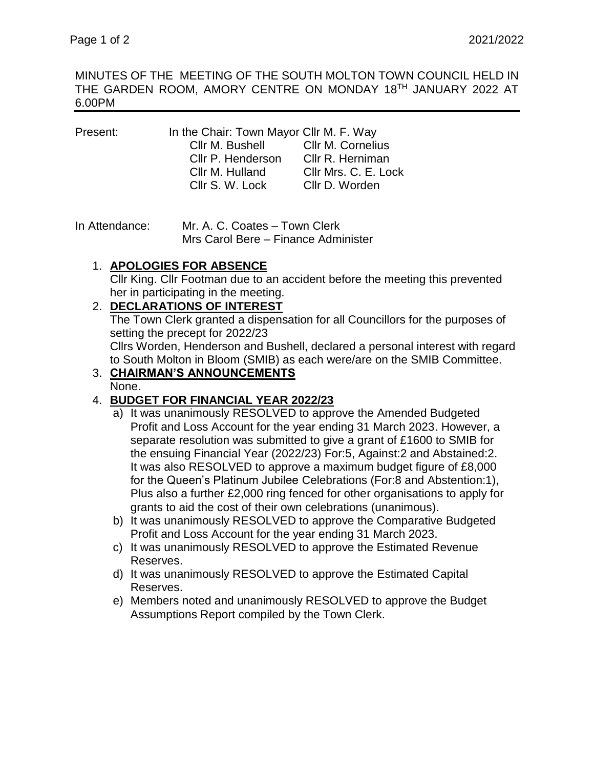MINUTES OF THE MEETING OF THE SOUTH MOLTON TOWN COUNCIL HELD IN THE GARDEN ROOM, AMORY CENTRE ON MONDAY 18TH JANUARY 2022 AT 6.00PM

| Present: | In the Chair: Town Mayor Cllr M. F. Way |                      |
|----------|-----------------------------------------|----------------------|
|          | Cllr M. Bushell Cllr M. Cornelius       |                      |
|          | Cllr P. Henderson                       | Cllr R. Herniman     |
|          | Cllr M. Hulland                         | Cllr Mrs. C. E. Lock |
|          | Cllr S. W. Lock                         | Cllr D. Worden       |
|          |                                         |                      |

In Attendance: Mr. A. C. Coates – Town Clerk Mrs Carol Bere – Finance Administer

# 1. **APOLOGIES FOR ABSENCE**

Cllr King. Cllr Footman due to an accident before the meeting this prevented her in participating in the meeting.

### 2. **DECLARATIONS OF INTEREST**

The Town Clerk granted a dispensation for all Councillors for the purposes of setting the precept for 2022/23

Cllrs Worden, Henderson and Bushell, declared a personal interest with regard to South Molton in Bloom (SMIB) as each were/are on the SMIB Committee.

#### 3. **CHAIRMAN'S ANNOUNCEMENTS** None.

# 4. **BUDGET FOR FINANCIAL YEAR 2022/23**

- a) It was unanimously RESOLVED to approve the Amended Budgeted Profit and Loss Account for the year ending 31 March 2023. However, a separate resolution was submitted to give a grant of £1600 to SMIB for the ensuing Financial Year (2022/23) For:5, Against:2 and Abstained:2. It was also RESOLVED to approve a maximum budget figure of £8,000 for the Queen's Platinum Jubilee Celebrations (For:8 and Abstention:1), Plus also a further £2,000 ring fenced for other organisations to apply for grants to aid the cost of their own celebrations (unanimous).
- b) It was unanimously RESOLVED to approve the Comparative Budgeted Profit and Loss Account for the year ending 31 March 2023.
- c) It was unanimously RESOLVED to approve the Estimated Revenue Reserves.
- d) It was unanimously RESOLVED to approve the Estimated Capital Reserves.
- e) Members noted and unanimously RESOLVED to approve the Budget Assumptions Report compiled by the Town Clerk.